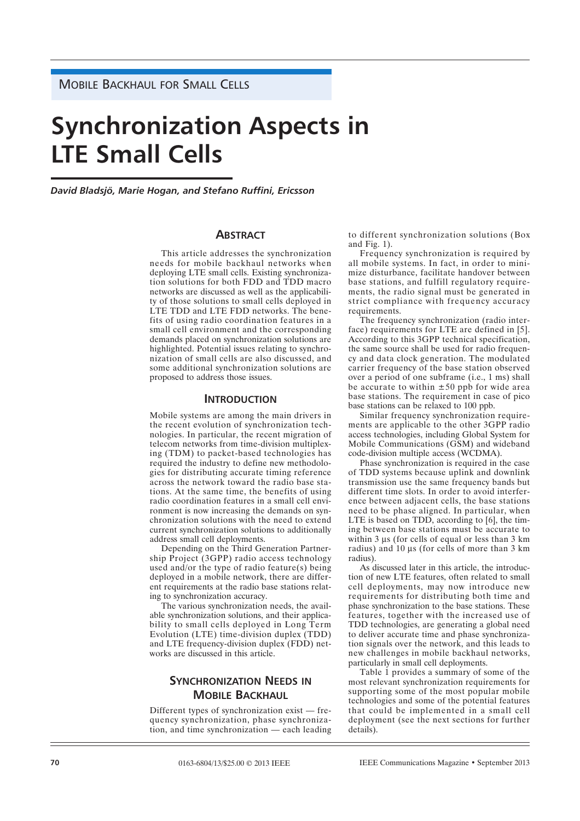# **Synchronization Aspects in LTE Small Cells**

*David Bladsjö, Marie Hogan, and Stefano Ruffini, Ericsson*

### **ABSTRACT**

This article addresses the synchronization needs for mobile backhaul networks when deploying LTE small cells. Existing synchronization solutions for both FDD and TDD macro networks are discussed as well as the applicability of those solutions to small cells deployed in LTE TDD and LTE FDD networks. The benefits of using radio coordination features in a small cell environment and the corresponding demands placed on synchronization solutions are highlighted. Potential issues relating to synchronization of small cells are also discussed, and some additional synchronization solutions are proposed to address those issues.

### **INTRODUCTION**

Mobile systems are among the main drivers in the recent evolution of synchronization technologies. In particular, the recent migration of telecom networks from time-division multiplexing (TDM) to packet-based technologies has required the industry to define new methodologies for distributing accurate timing reference across the network toward the radio base stations. At the same time, the benefits of using radio coordination features in a small cell environment is now increasing the demands on synchronization solutions with the need to extend current synchronization solutions to additionally address small cell deployments.

Depending on the Third Generation Partnership Project (3GPP) radio access technology used and/or the type of radio feature(s) being deployed in a mobile network, there are different requirements at the radio base stations relating to synchronization accuracy.

The various synchronization needs, the available synchronization solutions, and their applicability to small cells deployed in Long Term Evolution (LTE) time-division duplex (TDD) and LTE frequency-division duplex (FDD) networks are discussed in this article.

### **SYNCHRONIZATION NEEDS IN MOBILE BACKHAUL**

Different types of synchronization exist — frequency synchronization, phase synchronization, and time synchronization — each leading to different synchronization solutions (Box and Fig. 1).

Frequency synchronization is required by all mobile systems. In fact, in order to minimize disturbance, facilitate handover between base stations, and fulfill regulatory requirements, the radio signal must be generated in strict compliance with frequency accuracy requirements.

The frequency synchronization (radio interface) requirements for LTE are defined in [5]. According to this 3GPP technical specification, the same source shall be used for radio frequency and data clock generation. The modulated carrier frequency of the base station observed over a period of one subframe (i.e., 1 ms) shall be accurate to within  $\pm 50$  ppb for wide area base stations. The requirement in case of pico base stations can be relaxed to 100 ppb.

Similar frequency synchronization requirements are applicable to the other 3GPP radio access technologies, including Global System for Mobile Communications (GSM) and wideband code-division multiple access (WCDMA).

Phase synchronization is required in the case of TDD systems because uplink and downlink transmission use the same frequency bands but different time slots. In order to avoid interference between adjacent cells, the base stations need to be phase aligned. In particular, when LTE is based on TDD, according to [6], the timing between base stations must be accurate to within  $3 \mu s$  (for cells of equal or less than  $3 \text{ km}$ ) radius) and  $10 \mu s$  (for cells of more than 3 km radius).

As discussed later in this article, the introduction of new LTE features, often related to small cell deployments, may now introduce new requirements for distributing both time and phase synchronization to the base stations. These features, together with the increased use of TDD technologies, are generating a global need to deliver accurate time and phase synchronization signals over the network, and this leads to new challenges in mobile backhaul networks, particularly in small cell deployments.

Table 1 provides a summary of some of the most relevant synchronization requirements for supporting some of the most popular mobile technologies and some of the potential features that could be implemented in a small cell deployment (see the next sections for further details).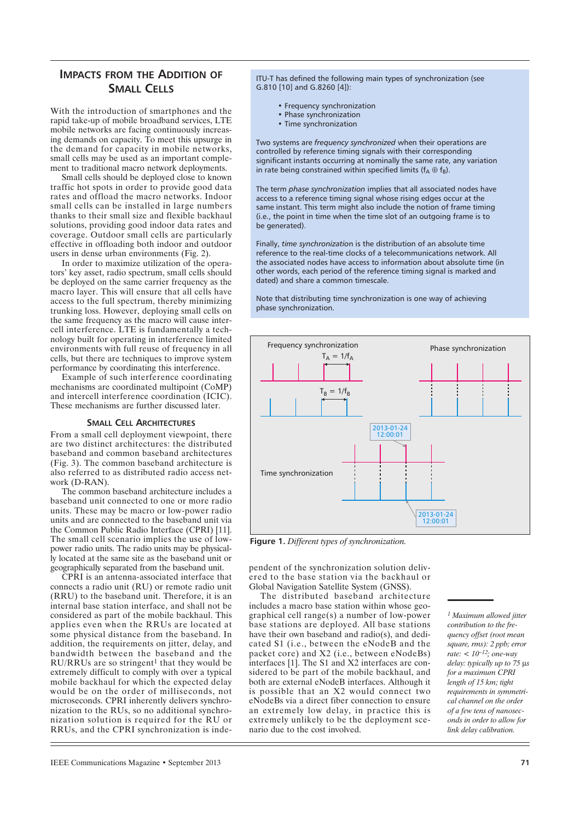## **IMPACTS FROM THE ADDITION OF SMALL CELLS**

With the introduction of smartphones and the rapid take-up of mobile broadband services, LTE mobile networks are facing continuously increasing demands on capacity. To meet this upsurge in the demand for capacity in mobile networks, small cells may be used as an important complement to traditional macro network deployments.

Small cells should be deployed close to known traffic hot spots in order to provide good data rates and offload the macro networks. Indoor small cells can be installed in large numbers thanks to their small size and flexible backhaul solutions, providing good indoor data rates and coverage. Outdoor small cells are particularly effective in offloading both indoor and outdoor users in dense urban environments (Fig. 2).

In order to maximize utilization of the operators' key asset, radio spectrum, small cells should be deployed on the same carrier frequency as the macro layer. This will ensure that all cells have access to the full spectrum, thereby minimizing trunking loss. However, deploying small cells on the same frequency as the macro will cause intercell interference. LTE is fundamentally a technology built for operating in interference limited environments with full reuse of frequency in all cells, but there are techniques to improve system performance by coordinating this interference.

Example of such interference coordinating mechanisms are coordinated multipoint (CoMP) and intercell interference coordination (ICIC). These mechanisms are further discussed later.

#### **SMALL CELL ARCHITECTURES**

From a small cell deployment viewpoint, there are two distinct architectures: the distributed baseband and common baseband architectures (Fig. 3). The common baseband architecture is also referred to as distributed radio access network (D-RAN).

The common baseband architecture includes a baseband unit connected to one or more radio units. These may be macro or low-power radio units and are connected to the baseband unit via the Common Public Radio Interface (CPRI) [11]. The small cell scenario implies the use of lowpower radio units. The radio units may be physically located at the same site as the baseband unit or geographically separated from the baseband unit.

CPRI is an antenna-associated interface that connects a radio unit (RU) or remote radio unit (RRU) to the baseband unit. Therefore, it is an internal base station interface, and shall not be considered as part of the mobile backhaul. This applies even when the RRUs are located at some physical distance from the baseband. In addition, the requirements on jitter, delay, and bandwidth between the baseband and the  $RU/RRUs$  are so stringent<sup>1</sup> that they would be extremely difficult to comply with over a typical mobile backhaul for which the expected delay would be on the order of milliseconds, not microseconds. CPRI inherently delivers synchronization to the RUs, so no additional synchronization solution is required for the RU or RRUs, and the CPRI synchronization is indeITU-T has defined the following main types of synchronization (see G.810 [10] and G.8260 [4]):

- Frequency synchronization
- Phase synchronization
- Time synchronization

Two systems are *frequency synchronized* when their operations are controlled by reference timing signals with their corresponding significant instants occurring at nominally the same rate, any variation in rate being constrained within specified limits ( $f_A \oplus f_B$ ).

The term *phase synchronization* implies that all associated nodes have access to a reference timing signal whose rising edges occur at the same instant. This term might also include the notion of frame timing (i.e., the point in time when the time slot of an outgoing frame is to be generated).

Finally, *time synchronizatio*n is the distribution of an absolute time reference to the real-time clocks of a telecommunications network. All the associated nodes have access to information about absolute time (in other words, each period of the reference timing signal is marked and dated) and share a common timescale.

Note that distributing time synchronization is one way of achieving phase synchronization.



**Figure 1.** *Different types of synchronization.*

pendent of the synchronization solution delivered to the base station via the backhaul or Global Navigation Satellite System (GNSS).

The distributed baseband architecture includes a macro base station within whose geographical cell range(s) a number of low-power base stations are deployed. All base stations have their own baseband and radio(s), and dedicated S1 (i.e., between the eNodeB and the packet core) and X2 (i.e., between eNodeBs) interfaces [1]. The S1 and X2 interfaces are considered to be part of the mobile backhaul, and both are external eNodeB interfaces. Although it is possible that an X2 would connect two eNodeBs via a direct fiber connection to ensure an extremely low delay, in practice this is extremely unlikely to be the deployment scenario due to the cost involved.

*<sup>1</sup> Maximum allowed jitter contribution to the frequency offset (root mean square, rms): 2 ppb; error rate: < 10–12; one-way delay: typically up to 75* m*s for a maximum CPRI length of 15 km; tight requirements in symmetrical channel on the order of a few tens of nanoseconds in order to allow for link delay calibration.*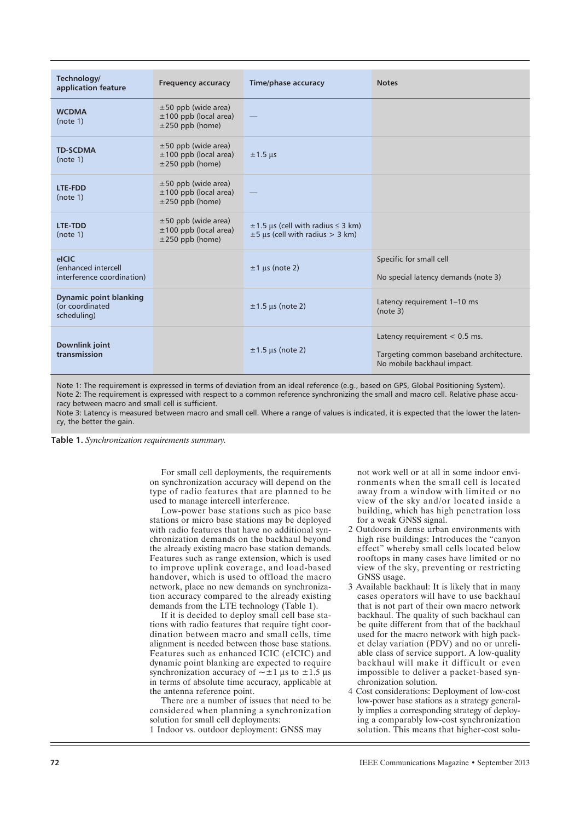| Technology/<br>application feature                              | <b>Frequency accuracy</b>                                                      | <b>Time/phase accuracy</b>                                                          | <b>Notes</b>                                                                                             |
|-----------------------------------------------------------------|--------------------------------------------------------------------------------|-------------------------------------------------------------------------------------|----------------------------------------------------------------------------------------------------------|
| <b>WCDMA</b><br>(note 1)                                        | $\pm 50$ ppb (wide area)<br>$±100$ ppb (local area)<br>$\pm 250$ ppb (home)    |                                                                                     |                                                                                                          |
| <b>TD-SCDMA</b><br>(note 1)                                     | $\pm 50$ ppb (wide area)<br>$\pm 100$ ppb (local area)<br>$\pm 250$ ppb (home) | $±1.5$ $\mu$ s                                                                      |                                                                                                          |
| <b>LTE-FDD</b><br>(note 1)                                      | $\pm 50$ ppb (wide area)<br>$\pm 100$ ppb (local area)<br>$\pm 250$ ppb (home) |                                                                                     |                                                                                                          |
| <b>LTE-TDD</b><br>(note 1)                                      | $\pm 50$ ppb (wide area)<br>$\pm 100$ ppb (local area)<br>$\pm 250$ ppb (home) | $\pm$ 1.5 µs (cell with radius $\leq$ 3 km)<br>$\pm 5$ µs (cell with radius > 3 km) |                                                                                                          |
| elCIC<br>(enhanced intercell<br>interference coordination)      |                                                                                | $±1 \mu s$ (note 2)                                                                 | Specific for small cell<br>No special latency demands (note 3)                                           |
| <b>Dynamic point blanking</b><br>(or coordinated<br>scheduling) |                                                                                | $\pm$ 1.5 µs (note 2)                                                               | Latency requirement 1-10 ms<br>(note 3)                                                                  |
| Downlink joint<br>transmission                                  |                                                                                | $\pm$ 1.5 µs (note 2)                                                               | Latency requirement $< 0.5$ ms.<br>Targeting common baseband architecture.<br>No mobile backhaul impact. |

Note 1: The requirement is expressed in terms of deviation from an ideal reference (e.g., based on GPS, Global Positioning System). Note 2: The requirement is expressed with respect to a common reference synchronizing the small and macro cell. Relative phase accuracy between macro and small cell is sufficient.

Note 3: Latency is measured between macro and small cell. Where a range of values is indicated, it is expected that the lower the latency, the better the gain.

**Table 1.** *Synchronization requirements summary.*

For small cell deployments, the requirements on synchronization accuracy will depend on the type of radio features that are planned to be used to manage intercell interference.

Low-power base stations such as pico base stations or micro base stations may be deployed with radio features that have no additional synchronization demands on the backhaul beyond the already existing macro base station demands. Features such as range extension, which is used to improve uplink coverage, and load-based handover, which is used to offload the macro network, place no new demands on synchronization accuracy compared to the already existing demands from the LTE technology (Table 1).

If it is decided to deploy small cell base stations with radio features that require tight coordination between macro and small cells, time alignment is needed between those base stations. Features such as enhanced ICIC (eICIC) and dynamic point blanking are expected to require synchronization accuracy of  $\sim \pm 1$  µs to  $\pm 1.5$  µs in terms of absolute time accuracy, applicable at the antenna reference point.

There are a number of issues that need to be considered when planning a synchronization solution for small cell deployments: 1 Indoor vs. outdoor deployment: GNSS may

not work well or at all in some indoor environments when the small cell is located away from a window with limited or no view of the sky and/or located inside a building, which has high penetration loss for a weak GNSS signal.

- 2 Outdoors in dense urban environments with high rise buildings: Introduces the "canyon effect" whereby small cells located below rooftops in many cases have limited or no view of the sky, preventing or restricting GNSS usage.
- 3 Available backhaul: It is likely that in many cases operators will have to use backhaul that is not part of their own macro network backhaul. The quality of such backhaul can be quite different from that of the backhaul used for the macro network with high packet delay variation (PDV) and no or unreliable class of service support. A low-quality backhaul will make it difficult or even impossible to deliver a packet-based synchronization solution.
- 4 Cost considerations: Deployment of low-cost low-power base stations as a strategy generally implies a corresponding strategy of deploying a comparably low-cost synchronization solution. This means that higher-cost solu-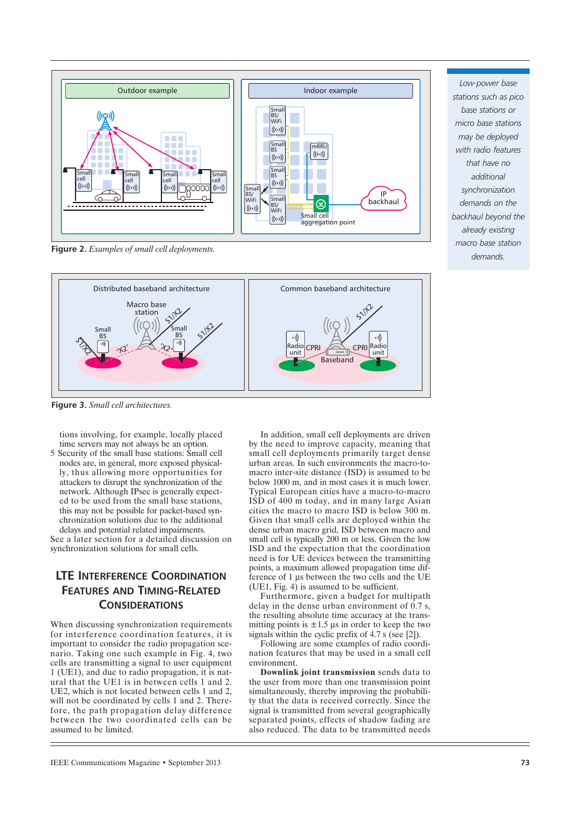

**Figure 2.** *Examples of small cell deployments.*



**Figure 3.** *Small cell architectures.*

tions involving, for example, locally placed time servers may not always be an option.

5 Security of the small base stations: Small cell nodes are, in general, more exposed physically, thus allowing more opportunities for attackers to disrupt the synchronization of the network. Although IPsec is generally expected to be used from the small base stations, this may not be possible for packet-based synchronization solutions due to the additional delays and potential related impairments.

See a later section for a detailed discussion on synchronization solutions for small cells.

# **LTE INTERFERENCE COORDINATION FEATURES AND TIMING-RELATED CONSIDERATIONS**

When discussing synchronization requirements for interference coordination features, it is important to consider the radio propagation scenario. Taking one such example in Fig. 4, two cells are transmitting a signal to user equipment 1 (UE1), and due to radio propagation, it is natural that the UE1 is in between cells 1 and 2. UE2, which is not located between cells 1 and 2, will not be coordinated by cells 1 and 2. Therefore, the path propagation delay difference between the two coordinated cells can be assumed to be limited.

In addition, small cell deployments are driven by the need to improve capacity, meaning that small cell deployments primarily target dense urban areas. In such environments the macro-tomacro inter-site distance (ISD) is assumed to be below 1000 m, and in most cases it is much lower. Typical European cities have a macro-to-macro ISD of 400 m today, and in many large Asian cities the macro to macro ISD is below 300 m. Given that small cells are deployed within the dense urban macro grid, ISD between macro and small cell is typically 200 m or less. Given the low ISD and the expectation that the coordination need is for UE devices between the transmitting points, a maximum allowed propagation time difference of 1 µs between the two cells and the UE (UE1, Fig. 4) is assumed to be sufficient.

Furthermore, given a budget for multipath delay in the dense urban environment of 0.7 s, the resulting absolute time accuracy at the transmitting points is  $\pm 1.5$  µs in order to keep the two signals within the cyclic prefix of 4.7 s (see [2]).

Following are some examples of radio coordination features that may be used in a small cell environment.

**Downlink joint transmission** sends data to the user from more than one transmission point simultaneously, thereby improving the probability that the data is received correctly. Since the signal is transmitted from several geographically separated points, effects of shadow fading are also reduced. The data to be transmitted needs

*Low-power base stations such as pico base stations or micro base stations may be deployed with radio features that have no additional synchronization demands on the backhaul beyond the already existing macro base station demands.*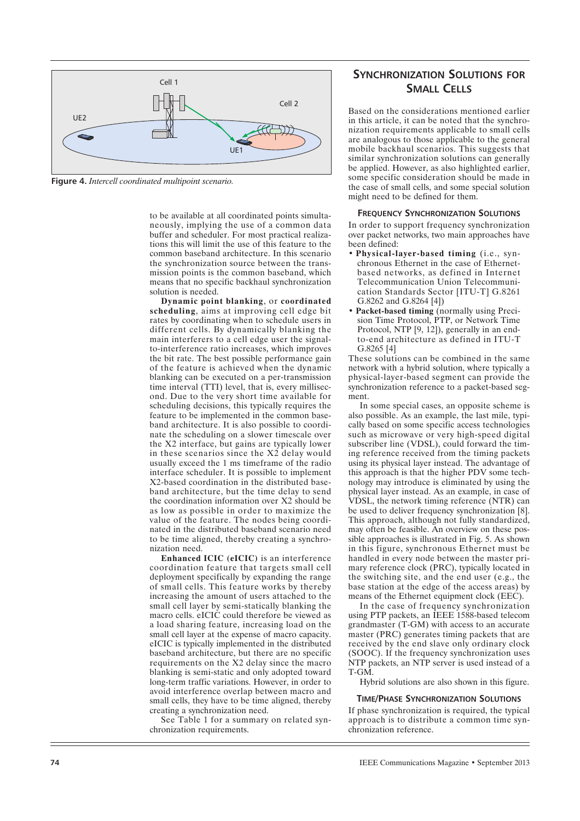

**Figure 4.** *Intercell coordinated multipoint scenario.*

to be available at all coordinated points simultaneously, implying the use of a common data buffer and scheduler. For most practical realizations this will limit the use of this feature to the common baseband architecture. In this scenario the synchronization source between the transmission points is the common baseband, which means that no specific backhaul synchronization solution is needed.

**Dynamic point blanking**, or **coordinated scheduling**, aims at improving cell edge bit rates by coordinating when to schedule users in different cells. By dynamically blanking the main interferers to a cell edge user the signalto-interference ratio increases, which improves the bit rate. The best possible performance gain of the feature is achieved when the dynamic blanking can be executed on a per-transmission time interval (TTI) level, that is, every millisecond. Due to the very short time available for scheduling decisions, this typically requires the feature to be implemented in the common baseband architecture. It is also possible to coordinate the scheduling on a slower timescale over the X2 interface, but gains are typically lower in these scenarios since the X2 delay would usually exceed the 1 ms timeframe of the radio interface scheduler. It is possible to implement X2-based coordination in the distributed baseband architecture, but the time delay to send the coordination information over X2 should be as low as possible in order to maximize the value of the feature. The nodes being coordinated in the distributed baseband scenario need to be time aligned, thereby creating a synchronization need.

**Enhanced ICIC (eICIC)** is an interference coordination feature that targets small cell deployment specifically by expanding the range of small cells. This feature works by thereby increasing the amount of users attached to the small cell layer by semi-statically blanking the macro cells. eICIC could therefore be viewed as a load sharing feature, increasing load on the small cell layer at the expense of macro capacity. eICIC is typically implemented in the distributed baseband architecture, but there are no specific requirements on the X2 delay since the macro blanking is semi-static and only adopted toward long-term traffic variations. However, in order to avoid interference overlap between macro and small cells, they have to be time aligned, thereby creating a synchronization need.

See Table 1 for a summary on related synchronization requirements.

# **SYNCHRONIZATION SOLUTIONS FOR SMALL CELLS**

Based on the considerations mentioned earlier in this article, it can be noted that the synchronization requirements applicable to small cells are analogous to those applicable to the general mobile backhaul scenarios. This suggests that similar synchronization solutions can generally be applied. However, as also highlighted earlier, some specific consideration should be made in the case of small cells, and some special solution might need to be defined for them.

#### **FREQUENCY SYNCHRONIZATION SOLUTIONS**

In order to support frequency synchronization over packet networks, two main approaches have been defined:

- **Physical-layer-based timing** (i.e., synchronous Ethernet in the case of Ethernetbased networks, as defined in Internet Telecommunication Union Telecommunication Standards Sector [ITU-T] G.8261 G.8262 and G.8264 [4])
- **Packet-based timing** (normally using Precision Time Protocol, PTP, or Network Time Protocol, NTP [9, 12]), generally in an endto-end architecture as defined in ITU-T G.8265 [4]

These solutions can be combined in the same network with a hybrid solution, where typically a physical-layer-based segment can provide the synchronization reference to a packet-based segment.

In some special cases, an opposite scheme is also possible. As an example, the last mile, typically based on some specific access technologies such as microwave or very high-speed digital subscriber line (VDSL), could forward the timing reference received from the timing packets using its physical layer instead. The advantage of this approach is that the higher PDV some technology may introduce is eliminated by using the physical layer instead. As an example, in case of VDSL, the network timing reference (NTR) can be used to deliver frequency synchronization [8]. This approach, although not fully standardized, may often be feasible. An overview on these possible approaches is illustrated in Fig. 5. As shown in this figure, synchronous Ethernet must be handled in every node between the master primary reference clock (PRC), typically located in the switching site, and the end user (e.g., the base station at the edge of the access areas) by means of the Ethernet equipment clock (EEC).

In the case of frequency synchronization using PTP packets, an IEEE 1588-based telecom grandmaster (T-GM) with access to an accurate master (PRC) generates timing packets that are received by the end slave only ordinary clock (SOOC). If the frequency synchronization uses NTP packets, an NTP server is used instead of a T-GM.

Hybrid solutions are also shown in this figure.

### **TIME/PHASE SYNCHRONIZATION SOLUTIONS**

If phase synchronization is required, the typical approach is to distribute a common time synchronization reference.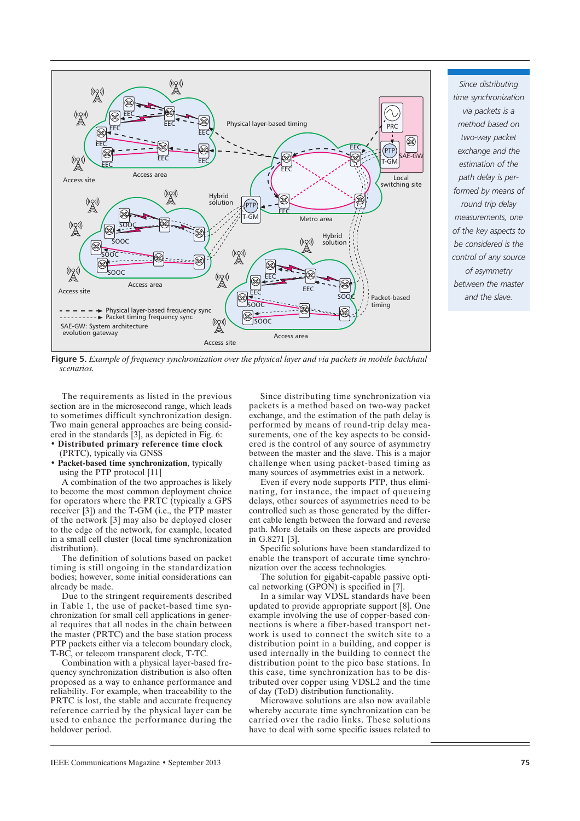

*Since distributing time synchronization via packets is a method based on two-way packet exchange and the estimation of the path delay is performed by means of round trip delay measurements, one of the key aspects to be considered is the control of any source of asymmetry between the master and the slave.*

**Figure 5.** *Example of frequency synchronization over the physical layer and via packets in mobile backhaul scenarios.*

The requirements as listed in the previous section are in the microsecond range, which leads to sometimes difficult synchronization design. Two main general approaches are being considered in the standards [3], as depicted in Fig. 6:

- **Distributed primary reference time clock** (PRTC), typically via GNSS
- **Packet-based time synchronization**, typically using the PTP protocol [11]

A combination of the two approaches is likely to become the most common deployment choice for operators where the PRTC (typically a GPS receiver [3]) and the T-GM (i.e., the PTP master of the network [3] may also be deployed closer to the edge of the network, for example, located in a small cell cluster (local time synchronization distribution).

The definition of solutions based on packet timing is still ongoing in the standardization bodies; however, some initial considerations can already be made.

Due to the stringent requirements described in Table 1, the use of packet-based time synchronization for small cell applications in general requires that all nodes in the chain between the master (PRTC) and the base station process PTP packets either via a telecom boundary clock, T-BC, or telecom transparent clock, T-TC.

Combination with a physical layer-based frequency synchronization distribution is also often proposed as a way to enhance performance and reliability. For example, when traceability to the PRTC is lost, the stable and accurate frequency reference carried by the physical layer can be used to enhance the performance during the holdover period.

Since distributing time synchronization via packets is a method based on two-way packet exchange, and the estimation of the path delay is performed by means of round-trip delay measurements, one of the key aspects to be considered is the control of any source of asymmetry between the master and the slave. This is a major challenge when using packet-based timing as many sources of asymmetries exist in a network.

Even if every node supports PTP, thus eliminating, for instance, the impact of queueing delays, other sources of asymmetries need to be controlled such as those generated by the different cable length between the forward and reverse path. More details on these aspects are provided in G.8271 [3].

Specific solutions have been standardized to enable the transport of accurate time synchronization over the access technologies.

The solution for gigabit-capable passive optical networking (GPON) is specified in [7].

In a similar way VDSL standards have been updated to provide appropriate support [8]. One example involving the use of copper-based connections is where a fiber-based transport network is used to connect the switch site to a distribution point in a building, and copper is used internally in the building to connect the distribution point to the pico base stations. In this case, time synchronization has to be distributed over copper using VDSL2 and the time of day (ToD) distribution functionality.

Microwave solutions are also now available whereby accurate time synchronization can be carried over the radio links. These solutions have to deal with some specific issues related to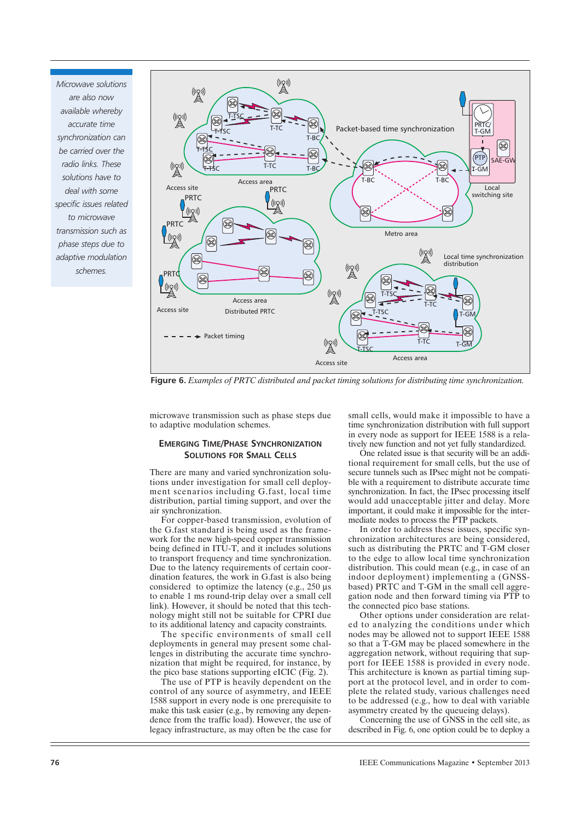*Microwave solutions are also now available whereby accurate time synchronization can be carried over the radio links. These solutions have to deal with some specific issues related to microwave transmission such as phase steps due to adaptive modulation schemes.*



**Figure 6.** *Examples of PRTC distributed and packet timing solutions for distributing time synchronization.*

microwave transmission such as phase steps due to adaptive modulation schemes.

### **EMERGING TIME/PHASE SYNCHRONIZATION SOLUTIONS FOR SMALL CELLS**

There are many and varied synchronization solutions under investigation for small cell deployment scenarios including G.fast, local time distribution, partial timing support, and over the air synchronization.

For copper-based transmission, evolution of the G.fast standard is being used as the framework for the new high-speed copper transmission being defined in ITU-T, and it includes solutions to transport frequency and time synchronization. Due to the latency requirements of certain coordination features, the work in G.fast is also being considered to optimize the latency (e.g.,  $250 \,\mu s$ ) to enable 1 ms round-trip delay over a small cell link). However, it should be noted that this technology might still not be suitable for CPRI due to its additional latency and capacity constraints.

The specific environments of small cell deployments in general may present some challenges in distributing the accurate time synchronization that might be required, for instance, by the pico base stations supporting eICIC (Fig. 2).

The use of PTP is heavily dependent on the control of any source of asymmetry, and IEEE 1588 support in every node is one prerequisite to make this task easier (e.g., by removing any dependence from the traffic load). However, the use of legacy infrastructure, as may often be the case for small cells, would make it impossible to have a time synchronization distribution with full support in every node as support for IEEE 1588 is a relatively new function and not yet fully standardized.

One related issue is that security will be an additional requirement for small cells, but the use of secure tunnels such as IPsec might not be compatible with a requirement to distribute accurate time synchronization. In fact, the IPsec processing itself would add unacceptable jitter and delay. More important, it could make it impossible for the intermediate nodes to process the PTP packets.

In order to address these issues, specific synchronization architectures are being considered, such as distributing the PRTC and T-GM closer to the edge to allow local time synchronization distribution. This could mean (e.g., in case of an indoor deployment) implementing a (GNSSbased) PRTC and T-GM in the small cell aggregation node and then forward timing via PTP to the connected pico base stations.

Other options under consideration are related to analyzing the conditions under which nodes may be allowed not to support IEEE 1588 so that a T-GM may be placed somewhere in the aggregation network, without requiring that support for IEEE 1588 is provided in every node. This architecture is known as partial timing support at the protocol level, and in order to complete the related study, various challenges need to be addressed (e.g., how to deal with variable asymmetry created by the queueing delays).

Concerning the use of GNSS in the cell site, as described in Fig. 6, one option could be to deploy a